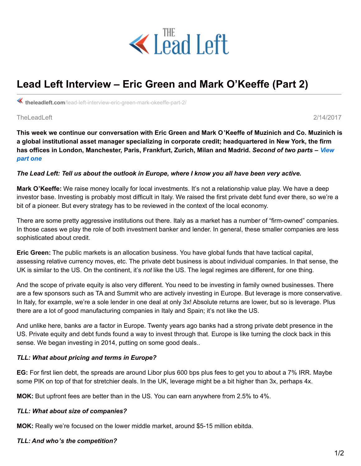

# **Lead Left Interview – Eric Green and Mark O'Keeffe (Part 2)**

**theleadleft.com**[/lead-left-interview-eric-green-mark-okeeffe-part-2/](https://www.theleadleft.com/lead-left-interview-eric-green-mark-okeeffe-part-2/)

TheLeadLeft 2/14/2017

This week we continue our conversation with Eric Green and Mark O'Keeffe of Muzinich and Co. Muzinich is **a global institutional asset manager specializing in corporate credit; headquartered in New York, the firm has offices in London, [Manchester,](https://www.theleadleft.com/lead-left-interview-eric-green-mark-okeeffe/) Paris, Frankfurt, Zurich, Milan and Madrid.** *Second of two parts – View part one*

#### The Lead Left: Tell us about the outlook in Europe, where I know you all have been very active.

**Mark O'Keeffe:** We raise money locally for local investments. It's not a relationship value play. We have a deep investor base. Investing is probably most difficult in Italy. We raised the first private debt fund ever there, so we're a bit of a pioneer. But every strategy has to be reviewed in the context of the local economy.

There are some pretty aggressive institutions out there. Italy as a market has a number of "firm-owned" companies. In those cases we play the role of both investment banker and lender. In general, these smaller companies are less sophisticated about credit.

**Eric Green:** The public markets is an allocation business. You have global funds that have tactical capital, assessing relative currency moves, etc. The private debt business is about individual companies. In that sense, the UK is similar to the US. On the continent, it's *not* like the US. The legal regimes are different, for one thing.

And the scope of private equity is also very different. You need to be investing in family owned businesses. There are a few sponsors such as TA and Summit who are actively investing in Europe. But leverage is more conservative. In Italy, for example, we're a sole lender in one deal at only 3x! Absolute returns are lower, but so is leverage. Plus there are a lot of good manufacturing companies in Italy and Spain; it's not like the US.

And unlike here, banks *are* a factor in Europe. Twenty years ago banks had a strong private debt presence in the US. Private equity and debt funds found a way to invest through that. Europe is like turning the clock back in this sense. We began investing in 2014, putting on some good deals..

## *TLL: What about pricing and terms in Europe?*

**EG:** For first lien debt, the spreads are around Libor plus 600 bps plus fees to get you to about a 7% IRR. Maybe some PIK on top of that for stretchier deals. In the UK, leverage might be a bit higher than 3x, perhaps 4x.

**MOK:** But upfront fees are better than in the US. You can earn anywhere from 2.5% to 4%.

## *TLL: What about size of companies?*

**MOK:** Really we're focused on the lower middle market, around \$5-15 million ebitda.

## *TLL: And who's the competition?*